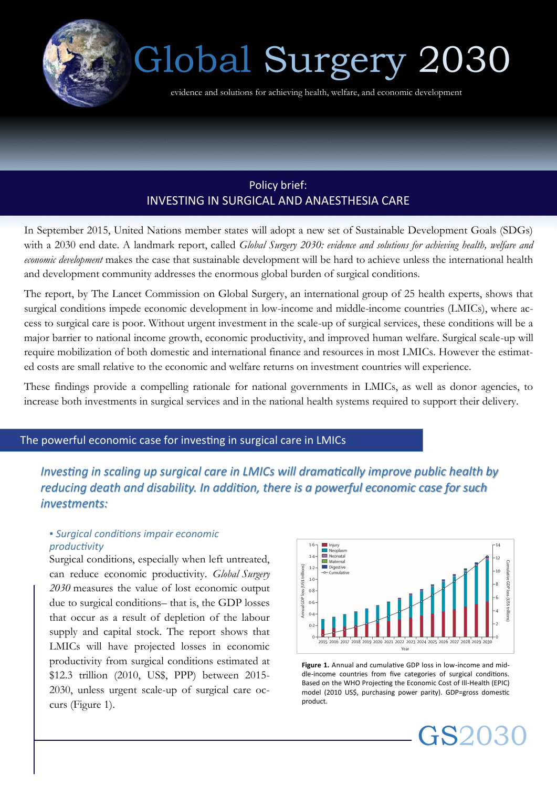

# Global Surgery 2030

evidence and solutions for achieving health, welfare, and economic development

# Policy brief: INVESTING IN SURGICAL AND ANAESTHESIA CARE

In September 2015, United Nations member states will adopt a new set of Sustainable Development Goals (SDGs) with a 2030 end date. A landmark report, called *Global Surgery 2030: evidence and solutions for achieving health, welfare and economic development* makes the case that sustainable development will be hard to achieve unless the international health and development community addresses the enormous global burden of surgical conditions.

The report, by The Lancet Commission on Global Surgery, an international group of 25 health experts, shows that surgical conditions impede economic development in low-income and middle-income countries (LMICs), where access to surgical care is poor. Without urgent investment in the scale-up of surgical services, these conditions will be a major barrier to national income growth, economic productivity, and improved human welfare. Surgical scale-up will require mobilization of both domestic and international finance and resources in most LMICs. However the estimated costs are small relative to the economic and welfare returns on investment countries will experience.

These findings provide a compelling rationale for national governments in LMICs, as well as donor agencies, to increase both investments in surgical services and in the national health systems required to support their delivery.

## The powerful economic case for investing in surgical care in LMICs

*Investing in scaling up surgical care in LMICs will dramatically improve public health by reducing death and disability. In addition, there is a powerful economic case for such investments:* 

## *▪ Surgical conditions impair economic productivity*

Surgical conditions, especially when left untreated, can reduce economic productivity. *Global Surgery 2030* measures the value of lost economic output due to surgical conditions– that is, the GDP losses that occur as a result of depletion of the labour supply and capital stock. The report shows that LMICs will have projected losses in economic productivity from surgical conditions estimated at \$12.3 trillion (2010, US\$, PPP) between 2015- 2030, unless urgent scale-up of surgical care occurs (Figure 1).



**Figure 1.** Annual and cumulative GDP loss in low-income and middle-income countries from five categories of surgical conditions. Based on the WHO Projecting the Economic Cost of Ill-Health (EPIC) model (2010 US\$, purchasing power parity). GDP=gross domestic product.

GS2030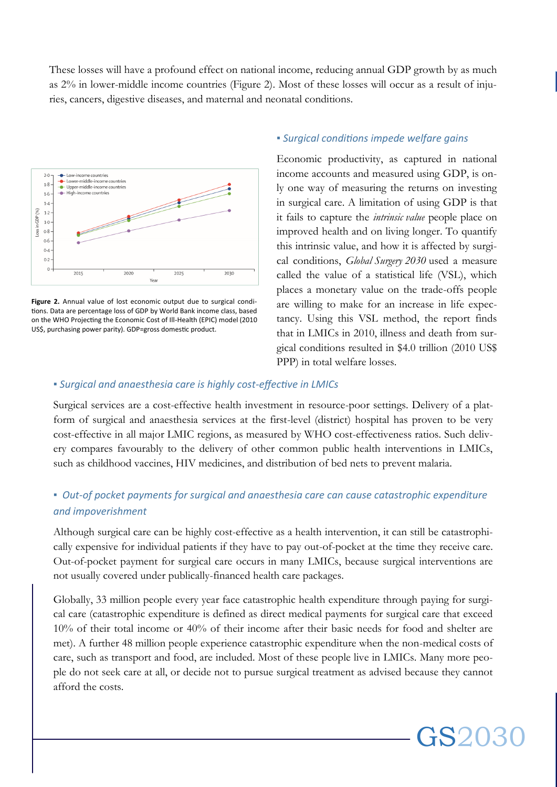These losses will have a profound effect on national income, reducing annual GDP growth by as much as 2% in lower-middle income countries (Figure 2). Most of these losses will occur as a result of injuries, cancers, digestive diseases, and maternal and neonatal conditions.



Figure 2. Annual value of lost economic output due to surgical conditions. Data are percentage loss of GDP by World Bank income class, based on the WHO Projecting the Economic Cost of Ill-Health (EPIC) model (2010 US\$, purchasing power parity). GDP=gross domestic product.

### *▪ Surgical conditions impede welfare gains*

Economic productivity, as captured in national income accounts and measured using GDP, is only one way of measuring the returns on investing in surgical care. A limitation of using GDP is that it fails to capture the *intrinsic value* people place on improved health and on living longer. To quantify this intrinsic value, and how it is affected by surgical conditions, *Global Surgery 2030* used a measure called the value of a statistical life (VSL), which places a monetary value on the trade-offs people are willing to make for an increase in life expectancy. Using this VSL method, the report finds that in LMICs in 2010, illness and death from surgical conditions resulted in \$4.0 trillion (2010 US\$ PPP) in total welfare losses.

GS2030

#### *▪ Surgical and anaesthesia care is highly cost-effective in LMICs*

Surgical services are a cost-effective health investment in resource-poor settings. Delivery of a platform of surgical and anaesthesia services at the first-level (district) hospital has proven to be very cost-effective in all major LMIC regions, as measured by WHO cost-effectiveness ratios. Such delivery compares favourably to the delivery of other common public health interventions in LMICs, such as childhood vaccines, HIV medicines, and distribution of bed nets to prevent malaria.

## *▪ Out-of pocket payments for surgical and anaesthesia care can cause catastrophic expenditure and impoverishment*

Although surgical care can be highly cost-effective as a health intervention, it can still be catastrophically expensive for individual patients if they have to pay out-of-pocket at the time they receive care. Out-of-pocket payment for surgical care occurs in many LMICs, because surgical interventions are not usually covered under publically-financed health care packages.

Globally, 33 million people every year face catastrophic health expenditure through paying for surgical care (catastrophic expenditure is defined as direct medical payments for surgical care that exceed 10% of their total income or 40% of their income after their basic needs for food and shelter are met). A further 48 million people experience catastrophic expenditure when the non-medical costs of care, such as transport and food, are included. Most of these people live in LMICs. Many more people do not seek care at all, or decide not to pursue surgical treatment as advised because they cannot afford the costs.